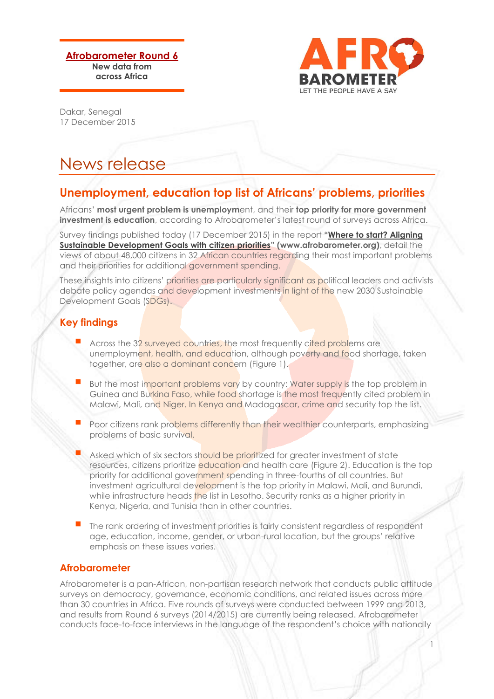**Afrobarometer Round 6 New data from across Africa**



1

Dakar, Senegal 17 December 2015

# News release

## **Unemployment, education top list of Africans' problems, priorities**

Africans' **most urgent problem is unemploym**ent, and their **top priority for more government investment is education**, according to Afrobarometer's latest round of surveys across Africa.

Survey findings published today (17 December 2015) in the report **"[Where to start? Aligning](http://afrobarometer.org/publications/ad67-where-start-aligning-sustainable-development-goals-citizen-priorities)  [Sustainable Development Goals](http://afrobarometer.org/publications/ad67-where-start-aligning-sustainable-development-goals-citizen-priorities) with citizen priorities" (www.afrobarometer.org)**, detail the views of about 48,000 citizens in 32 African countries regarding their most important problems and their priorities for additional government spending.

These insights into citizens' priorities are particularly significant as political leaders and activists debate policy agendas and development investments in light of the new 2030 Sustainable Development Goals (SDGs).

### **Key findings**

- Across the 32 surveyed countries, the most frequently cited problems are unemployment, health, and education, although poverty and food shortage, taken together, are also a dominant concern (Figure 1).
- But the most important problems vary by country: Water supply is the top problem in Guinea and Burkina Faso, while food shortage is the most frequently cited problem in Malawi, Mali, and Niger. In Kenya and Madagascar, crime and security top the list.
- Poor citizens rank problems differently than their wealthier counterparts, emphasizing problems of basic survival.
- Asked which of six sectors should be prioritized for greater investment of state resources, citizens prioritize education and health care (Figure 2). Education is the top priority for additional government spending in three-fourths of all countries. But investment agricultural development is the top priority in Malawi, Mali, and Burundi, while infrastructure heads the list in Lesotho. Security ranks as a higher priority in Kenya, Nigeria, and Tunisia than in other countries.
- The rank ordering of investment priorities is fairly consistent regardless of respondent age, education, income, gender, or urban-rural location, but the groups' relative emphasis on these issues varies.

### **Afrobarometer**

Afrobarometer is a pan-African, non-partisan research network that conducts public attitude surveys on democracy, governance, economic conditions, and related issues across more than 30 countries in Africa. Five rounds of surveys were conducted between 1999 and 2013, and results from Round 6 surveys (2014/2015) are currently being released. Afrobarometer conducts face-to-face interviews in the language of the respondent's choice with nationally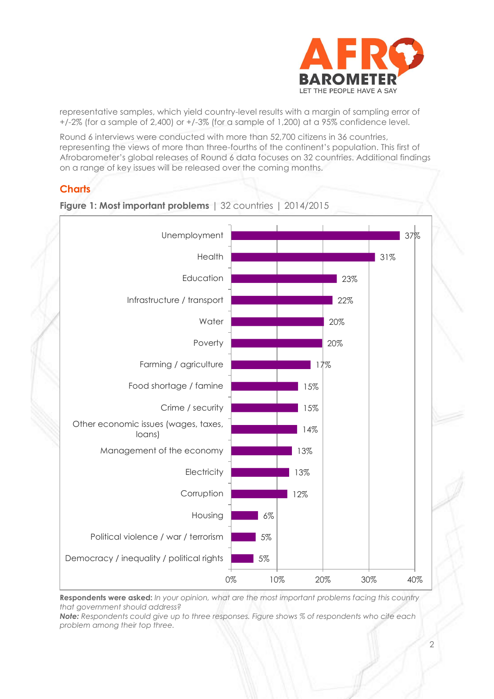

representative samples, which yield country-level results with a margin of sampling error of +/-2% (for a sample of 2,400) or +/-3% (for a sample of 1,200) at a 95% confidence level.

Round 6 interviews were conducted with more than 52,700 citizens in 36 countries, representing the views of more than three-fourths of the continent's population. This first of Afrobarometer's global releases of Round 6 data focuses on 32 countries. Additional findings on a range of key issues will be released over the coming months.

## **Charts**



**Figure 1: Most important problems** | 32 countries | 2014/2015

**Respondents were asked:** *In your opinion, what are the most important problems facing this country that government should address?* 

*Note: Respondents could give up to three responses. Figure shows % of respondents who cite each problem among their top three.*